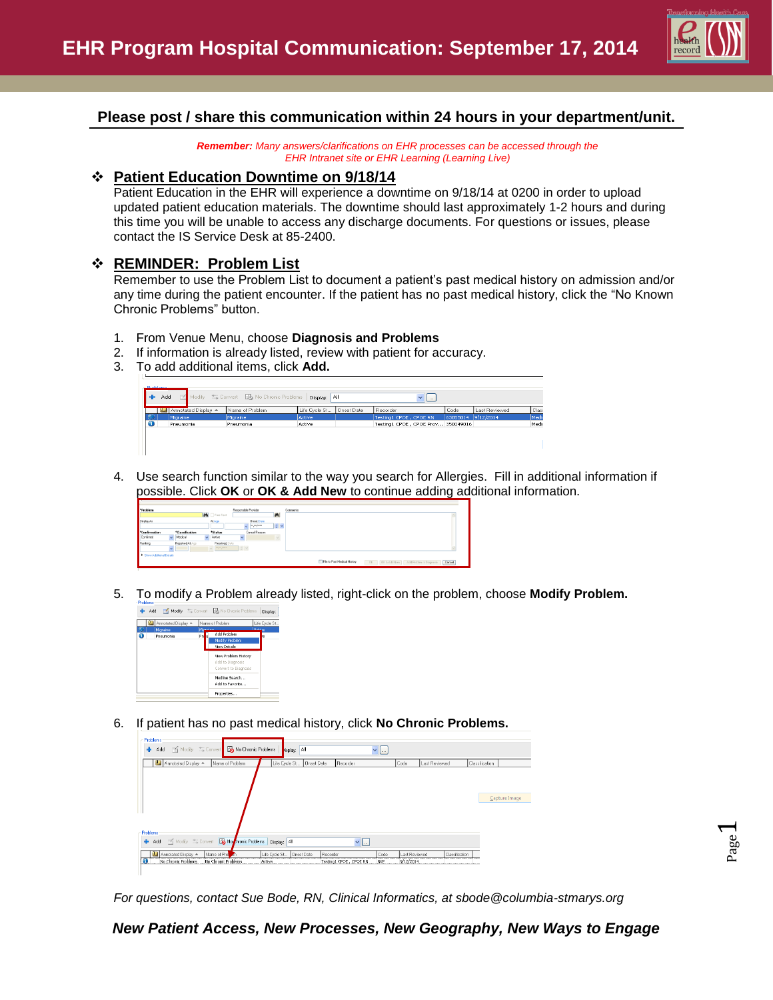

Page  $\overline{\phantom{0}}$ 

## **Please post / share this communication within 24 hours in your department/unit.**

*Remember: Many answers/clarifications on EHR processes can be accessed through the EHR Intranet site or EHR Learning (Learning Live)*

### **Patient Education Downtime on 9/18/14**

Patient Education in the EHR will experience a downtime on 9/18/14 at 0200 in order to upload updated patient education materials. The downtime should last approximately 1-2 hours and during this time you will be unable to access any discharge documents. For questions or issues, please contact the IS Service Desk at 85-2400.

## **REMINDER: Problem List**

Remember to use the Problem List to document a patient's past medical history on admission and/or any time during the patient encounter. If the patient has no past medical history, click the "No Known Chronic Problems" button.

- 1. From Venue Menu, choose **Diagnosis and Problems**
- 2. If information is already listed, review with patient for accuracy.
- 3. To add additional items, click **Add.**



4. Use search function similar to the way you search for Allergies. Fill in additional information if possible. Click **OK** or **OK & Add New** to continue adding additional information.

| <b>Problem</b>                   |                 |                          | Free Test          | Responsible Provider                                                                           |                                | 两        | Comments                                                                             |  |
|----------------------------------|-----------------|--------------------------|--------------------|------------------------------------------------------------------------------------------------|--------------------------------|----------|--------------------------------------------------------------------------------------|--|
| Display As                       |                 |                          | At Age             |                                                                                                | <b>Gnset Date</b><br>$-$ paper |          |                                                                                      |  |
| *Confirmation                    | *Classification |                          | *Status            |                                                                                                | Cancel Reacon                  | $z \sim$ |                                                                                      |  |
| Confirmed<br>$\mathbf{v}$        | Medical         | $\overline{\phantom{a}}$ | Active             |                                                                                                |                                |          |                                                                                      |  |
| Ranking                          | Resolved At Age |                          | Resolved: Usta     |                                                                                                |                                |          |                                                                                      |  |
|                                  |                 |                          | mpapers.<br>$\sim$ | $\frac{\partial}{\partial x} \left  \begin{array}{c} \Delta x \\ \Delta y \end{array} \right $ |                                |          |                                                                                      |  |
| <b>1</b> Show Additional Details |                 |                          |                    |                                                                                                |                                |          |                                                                                      |  |
|                                  |                 |                          |                    |                                                                                                |                                |          | File to Part Medical History<br>CK   CK & Add New   Add Problem & Diagnosis   Cancel |  |

5. To modify a Problem already listed, right-click on the problem, choose **Modify Problem.**



6. If patient has no past medical history, click **No Chronic Problems.**

| Problems                                                                |              |                     |                                                         |                                           |                               |                        |      |               |                |                |               |  |  |  |  |
|-------------------------------------------------------------------------|--------------|---------------------|---------------------------------------------------------|-------------------------------------------|-------------------------------|------------------------|------|---------------|----------------|----------------|---------------|--|--|--|--|
| Modify <b>Ex Convert R</b> <sub>o</sub> No Chronic Problems<br>÷<br>Add |              |                     |                                                         | Display: All<br>$\mathbf{v}$ $\mathbf{L}$ |                               |                        |      |               |                |                |               |  |  |  |  |
|                                                                         |              | Annotated Display   | Name of Problem                                         | Life Cycle St                             | Onset Date                    | Recorder               |      | Code          | Last Reviewed  | Classification |               |  |  |  |  |
|                                                                         |              |                     |                                                         |                                           |                               |                        |      |               |                |                |               |  |  |  |  |
|                                                                         |              |                     |                                                         |                                           |                               |                        |      |               |                |                | Capture Image |  |  |  |  |
|                                                                         | Problems     |                     |                                                         |                                           |                               |                        |      |               |                |                |               |  |  |  |  |
|                                                                         |              |                     | Add of Modify the Convert <b>R</b> No Interior Problems | Display: All                              |                               | $\vee$ $\Box$          |      |               |                |                |               |  |  |  |  |
|                                                                         |              | Annotated Display   | Name of Property                                        | Life Cycle St                             | <b>Onset Date</b><br>Recorder |                        | Code | Last Reviewed | Classification |                |               |  |  |  |  |
|                                                                         | $\bullet$ No | No Chronic Problems | No Chronic Problems                                     | <b>Active</b>                             |                               | Testing1 CPOE, CPOE RN | NKP. |               | 9/12/2014      |                |               |  |  |  |  |
|                                                                         |              |                     |                                                         |                                           |                               |                        |      |               |                |                |               |  |  |  |  |

*For questions, contact Sue Bode, RN, Clinical Informatics, at sbode@columbia-stmarys.org*

*New Patient Access, New Processes, New Geography, New Ways to Engage*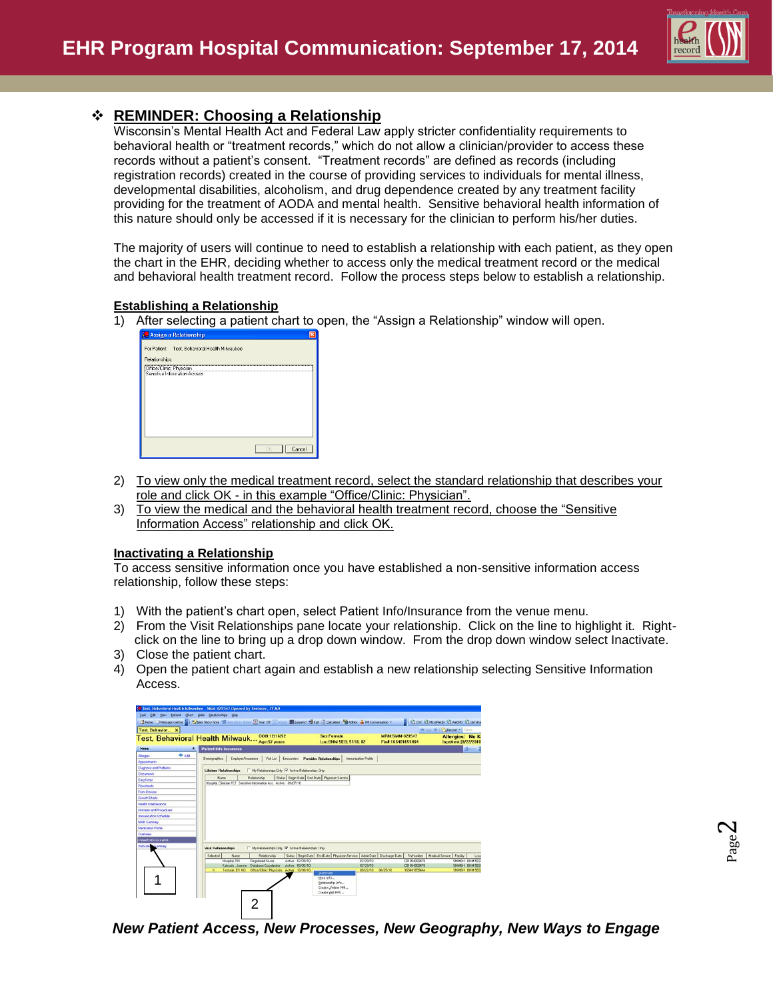

# **REMINDER: Choosing a Relationship**

Wisconsin's Mental Health Act and Federal Law apply stricter confidentiality requirements to behavioral health or "treatment records," which do not allow a clinician/provider to access these records without a patient's consent. "Treatment records" are defined as records (including registration records) created in the course of providing services to individuals for mental illness, developmental disabilities, alcoholism, and drug dependence created by any treatment facility providing for the treatment of AODA and mental health. Sensitive behavioral health information of this nature should only be accessed if it is necessary for the clinician to perform his/her duties.

The majority of users will continue to need to establish a relationship with each patient, as they open the chart in the EHR, deciding whether to access only the medical treatment record or the medical and behavioral health treatment record. Follow the process steps below to establish a relationship.

#### **Establishing a Relationship**

1) After selecting a patient chart to open, the "Assign a Relationship" window will open.



- 2) To view only the medical treatment record, select the standard relationship that describes your role and click OK - in this example "Office/Clinic: Physician".
- 3) To view the medical and the behavioral health treatment record, choose the "Sensitive Information Access" relationship and click OK.

#### **Inactivating a Relationship**

To access sensitive information once you have established a non-sensitive information access relationship, follow these steps:

- 1) With the patient's chart open, select Patient Info/Insurance from the venue menu.
- 2) From the Visit Relationships pane locate your relationship. Click on the line to highlight it. Right click on the line to bring up a drop down window. From the drop down window select Inactivate.
- 3) Close the patient chart.
- 4) Open the patient chart again and establish a new relationship selecting Sensitive Information Access.



Page  $\boldsymbol{\sim}$ 

*New Patient Access, New Processes, New Geography, New Ways to Engage*